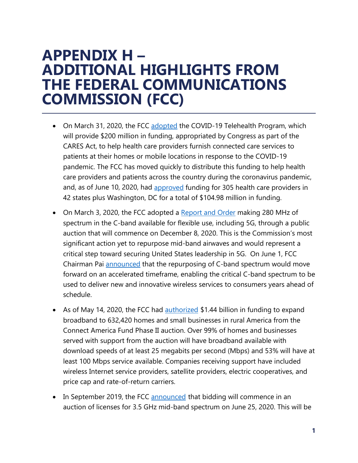## **APPENDIX H – ADDITIONAL HIGHLIGHTS FROM THE FEDERAL COMMUNICATIONS COMMISSION (FCC)**

- On March 31, 2020, the FCC [adopted](https://docs.fcc.gov/public/attachments/FCC-20-44A1.pdf) the COVID-19 Telehealth Program, which will provide \$200 million in funding, appropriated by Congress as part of the CARES Act, to help health care providers furnish connected care services to patients at their homes or mobile locations in response to the COVID-19 pandemic. The FCC has moved quickly to distribute this funding to help health care providers and patients across the country during the coronavirus pandemic, and, as of June 10, 2020, had [approved](https://docs.fcc.gov/public/attachments/DOC-364847A1.pdf) funding for 305 health care providers in 42 states plus Washington, DC for a total of \$104.98 million in funding.
- On March 3, 2020, the FCC adopted a [Report and Order](https://docs.fcc.gov/public/attachments/FCC-20-22A1.pdf) making 280 MHz of spectrum in the C-band available for flexible use, including 5G, through a public auction that will commence on December 8, 2020. This is the Commission's most significant action yet to repurpose mid-band airwaves and would represent a critical step toward securing United States leadership in 5G. On June 1, FCC Chairman Pai [announced](https://docs.fcc.gov/public/attachments/DA-20-578A1.pdf) that the repurposing of C-band spectrum would move forward on an accelerated timeframe, enabling the critical C-band spectrum to be used to deliver new and innovative wireless services to consumers years ahead of schedule.
- As of May 14, 2020, the FCC had [authorized](https://docs.fcc.gov/public/attachments/DA-20-514A1.pdf) \$1.44 billion in funding to expand broadband to 632,420 homes and small businesses in rural America from the Connect America Fund Phase II auction. Over 99% of homes and businesses served with support from the auction will have broadband available with download speeds of at least 25 megabits per second (Mbps) and 53% will have at least 100 Mbps service available. Companies receiving support have included wireless Internet service providers, satellite providers, electric cooperatives, and price cap and rate-of-return carriers.
- In September 2019, the FCC [announced](https://docs.fcc.gov/public/attachments/FCC-19-96A1.pdf) that bidding will commence in an auction of licenses for 3.5 GHz mid-band spectrum on June 25, 2020. This will be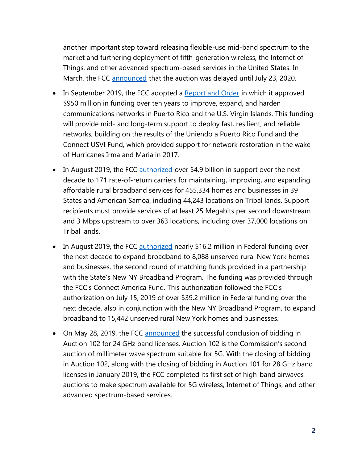another important step toward releasing flexible-use mid-band spectrum to the market and furthering deployment of fifth-generation wireless, the Internet of Things, and other advanced spectrum-based services in the United States. In March, the FCC [announced](https://docs.fcc.gov/public/attachments/DOC-363292A1.pdf) that the auction was delayed until July 23, 2020.

- In September 2019, the FCC adopted a [Report and Order](https://docs.fcc.gov/public/attachments/FCC-19-95A1.pdf) in which it approved \$950 million in funding over ten years to improve, expand, and harden communications networks in Puerto Rico and the U.S. Virgin Islands. This funding will provide mid- and long-term support to deploy fast, resilient, and reliable networks, building on the results of the Uniendo a Puerto Rico Fund and the Connect USVI Fund, which provided support for network restoration in the wake of Hurricanes Irma and Maria in 2017.
- In August 2019, the FCC [authorized](https://docs.fcc.gov/public/attachments/DA-19-808A1.pdf) over \$4.9 billion in support over the next decade to 171 rate-of-return carriers for maintaining, improving, and expanding affordable rural broadband services for 455,334 homes and businesses in 39 States and American Samoa, including 44,243 locations on Tribal lands. Support recipients must provide services of at least 25 Megabits per second downstream and 3 Mbps upstream to over 363 locations, including over 37,000 locations on Tribal lands.
- In August 2019, the FCC [authorized](https://docs.fcc.gov/public/attachments/DOC-359024A1.pdf) nearly \$16.2 million in Federal funding over the next decade to expand broadband to 8,088 unserved rural New York homes and businesses, the second round of matching funds provided in a partnership with the State's New NY Broadband Program. The funding was provided through the FCC's Connect America Fund. This authorization followed the FCC's authorization on July 15, 2019 of over \$39.2 million in Federal funding over the next decade, also in conjunction with the New NY Broadband Program, to expand broadband to 15,442 unserved rural New York homes and businesses.
- On May 28, 2019, the FCC [announced](https://docs.fcc.gov/public/attachments/DOC-357702A1.pdf) the successful conclusion of bidding in Auction 102 for 24 GHz band licenses. Auction 102 is the Commission's second auction of millimeter wave spectrum suitable for 5G. With the closing of bidding in Auction 102, along with the closing of bidding in Auction 101 for 28 GHz band licenses in January 2019, the FCC completed its first set of high-band airwaves auctions to make spectrum available for 5G wireless, Internet of Things, and other advanced spectrum-based services.